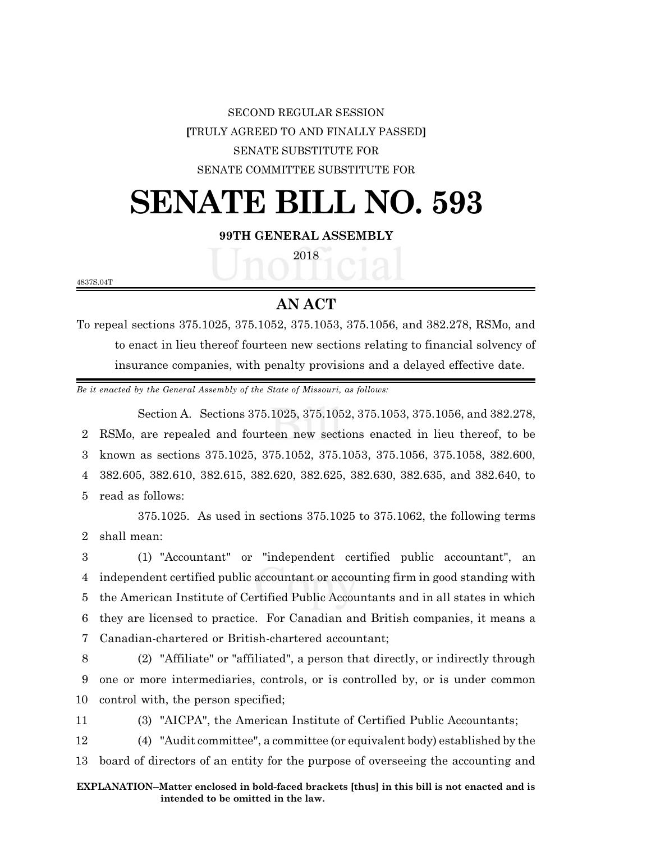SECOND REGULAR SESSION **[**TRULY AGREED TO AND FINALLY PASSED**]** SENATE SUBSTITUTE FOR SENATE COMMITTEE SUBSTITUTE FOR

## **SENATE BILL NO. 593**

## **99TH GENERAL ASSEMBLY**

2018

4837S.04T

## **AN ACT**

To repeal sections 375.1025, 375.1052, 375.1053, 375.1056, and 382.278, RSMo, and to enact in lieu thereof fourteen new sections relating to financial solvency of insurance companies, with penalty provisions and a delayed effective date.

*Be it enacted by the General Assembly of the State of Missouri, as follows:*

Section A. Sections 375.1025, 375.1052, 375.1053, 375.1056, and 382.278, RSMo, are repealed and fourteen new sections enacted in lieu thereof, to be known as sections 375.1025, 375.1052, 375.1053, 375.1056, 375.1058, 382.600, 382.605, 382.610, 382.615, 382.620, 382.625, 382.630, 382.635, and 382.640, to read as follows:

375.1025. As used in sections 375.1025 to 375.1062, the following terms 2 shall mean:

 (1) "Accountant" or "independent certified public accountant", an independent certified public accountant or accounting firm in good standing with the American Institute of Certified Public Accountants and in all states in which they are licensed to practice. For Canadian and British companies, it means a Canadian-chartered or British-chartered accountant;

8 (2) "Affiliate" or "affiliated", a person that directly, or indirectly through 9 one or more intermediaries, controls, or is controlled by, or is under common 10 control with, the person specified;

11 (3) "AICPA", the American Institute of Certified Public Accountants;

12 (4) "Audit committee", a committee (or equivalent body) established by the 13 board of directors of an entity for the purpose of overseeing the accounting and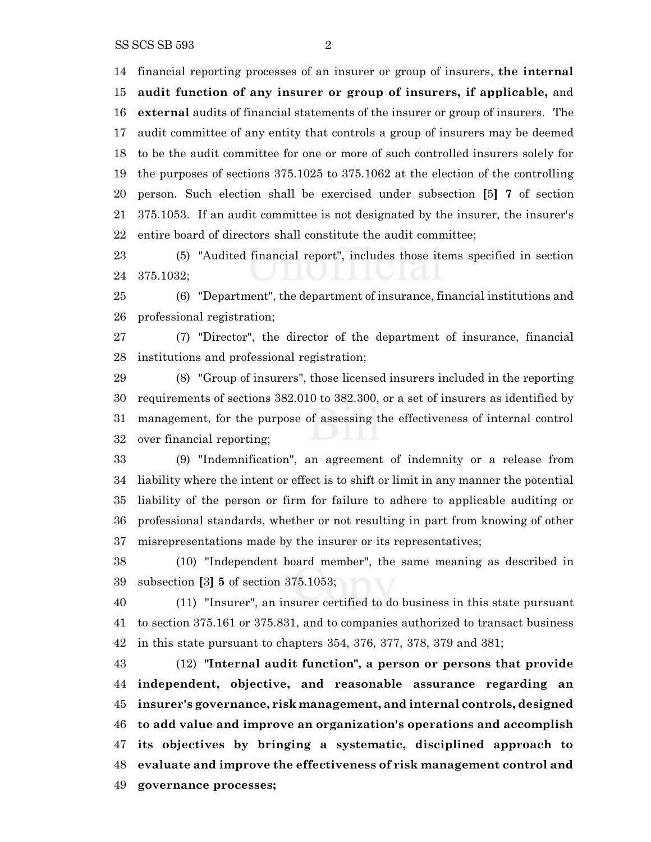financial reporting processes of an insurer or group of insurers, **the internal audit function of any insurer or group of insurers, if applicable,** and **external** audits of financial statements of the insurer or group of insurers. The audit committee of any entity that controls a group of insurers may be deemed to be the audit committee for one or more of such controlled insurers solely for the purposes of sections 375.1025 to 375.1062 at the election of the controlling person. Such election shall be exercised under subsection **[**5**] 7** of section 375.1053. If an audit committee is not designated by the insurer, the insurer's entire board of directors shall constitute the audit committee;

 (5) "Audited financial report", includes those items specified in section 375.1032;

 (6) "Department", the department of insurance, financial institutions and professional registration;

 (7) "Director", the director of the department of insurance, financial institutions and professional registration;

 (8) "Group of insurers", those licensed insurers included in the reporting requirements of sections 382.010 to 382.300, or a set of insurers as identified by management, for the purpose of assessing the effectiveness of internal control over financial reporting;

 (9) "Indemnification", an agreement of indemnity or a release from liability where the intent or effect is to shift or limit in any manner the potential liability of the person or firm for failure to adhere to applicable auditing or professional standards, whether or not resulting in part from knowing of other misrepresentations made by the insurer or its representatives;

 (10) "Independent board member", the same meaning as described in subsection **[**3**] 5** of section 375.1053;

 (11) "Insurer", an insurer certified to do business in this state pursuant to section 375.161 or 375.831, and to companies authorized to transact business in this state pursuant to chapters 354, 376, 377, 378, 379 and 381;

 (12) **"Internal audit function", a person or persons that provide independent, objective, and reasonable assurance regarding an insurer's governance, risk management, and internal controls, designed to add value and improve an organization's operations and accomplish its objectives by bringing a systematic, disciplined approach to evaluate and improve the effectiveness of risk management control and governance processes;**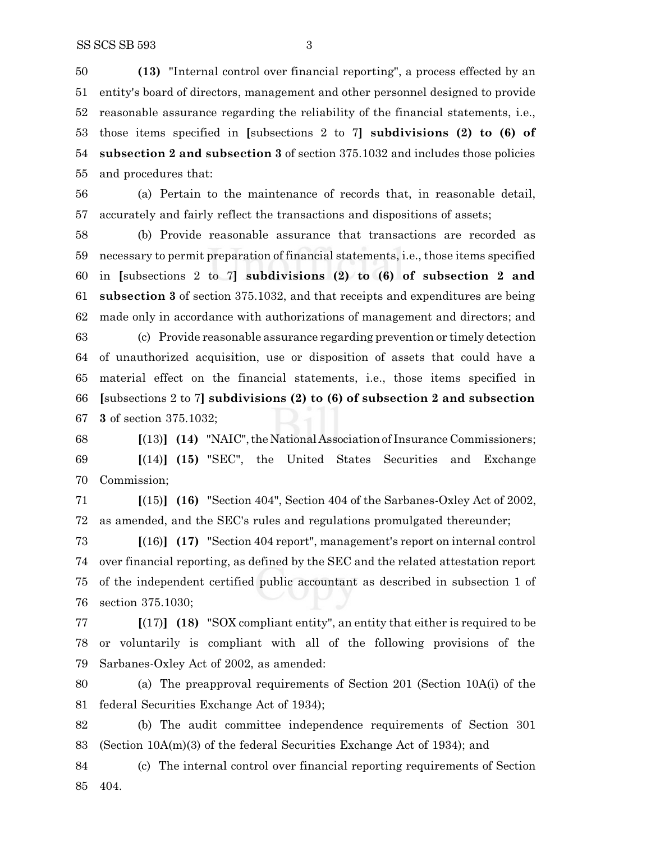**(13)** "Internal control over financial reporting", a process effected by an entity's board of directors, management and other personnel designed to provide reasonable assurance regarding the reliability of the financial statements, i.e., those items specified in **[**subsections 2 to 7**] subdivisions (2) to (6) of subsection 2 and subsection 3** of section 375.1032 and includes those policies and procedures that:

 (a) Pertain to the maintenance of records that, in reasonable detail, accurately and fairly reflect the transactions and dispositions of assets;

 (b) Provide reasonable assurance that transactions are recorded as necessary to permit preparation of financial statements, i.e., those items specified in **[**subsections 2 to 7**] subdivisions (2) to (6) of subsection 2 and subsection 3** of section 375.1032, and that receipts and expenditures are being made only in accordance with authorizations of management and directors; and

 (c) Provide reasonable assurance regarding prevention or timely detection of unauthorized acquisition, use or disposition of assets that could have a material effect on the financial statements, i.e., those items specified in **[**subsections 2 to 7**] subdivisions (2) to (6) of subsection 2 and subsection 3** of section 375.1032;

 **[**(13)**] (14)** "NAIC",the National Association of Insurance Commissioners; **[**(14)**] (15)** "SEC", the United States Securities and Exchange Commission;

 **[**(15)**] (16)** "Section 404", Section 404 of the Sarbanes-Oxley Act of 2002, as amended, and the SEC's rules and regulations promulgated thereunder;

 **[**(16)**] (17)** "Section 404 report", management's report on internal control over financial reporting, as defined by the SEC and the related attestation report of the independent certified public accountant as described in subsection 1 of section 375.1030;

 **[**(17)**] (18)** "SOX compliant entity", an entity that either is required to be or voluntarily is compliant with all of the following provisions of the Sarbanes-Oxley Act of 2002, as amended:

 (a) The preapproval requirements of Section 201 (Section 10A(i) of the federal Securities Exchange Act of 1934);

 (b) The audit committee independence requirements of Section 301 (Section 10A(m)(3) of the federal Securities Exchange Act of 1934); and

 (c) The internal control over financial reporting requirements of Section 404.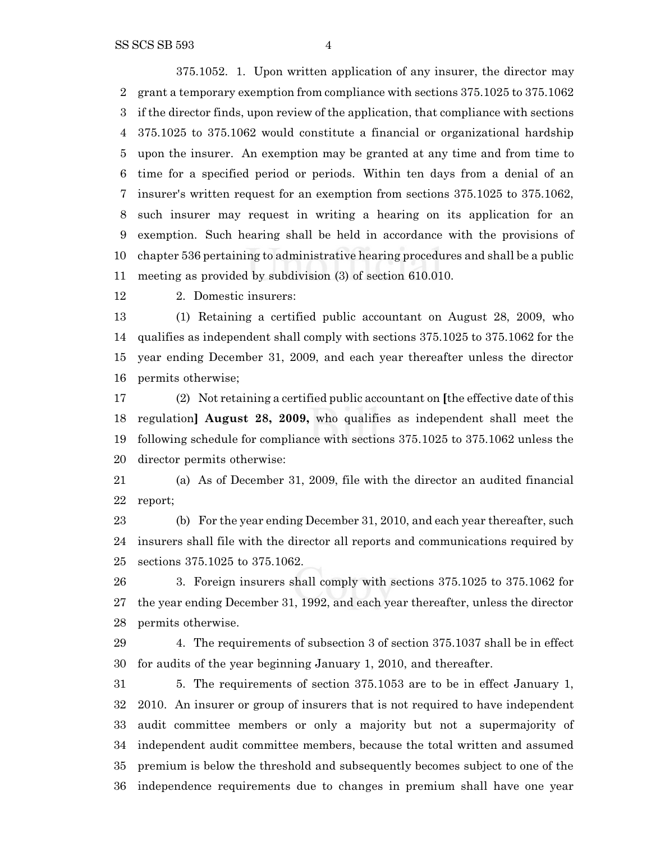375.1052. 1. Upon written application of any insurer, the director may grant a temporary exemption from compliance with sections 375.1025 to 375.1062 if the director finds, upon review of the application, that compliance with sections 375.1025 to 375.1062 would constitute a financial or organizational hardship upon the insurer. An exemption may be granted at any time and from time to time for a specified period or periods. Within ten days from a denial of an insurer's written request for an exemption from sections 375.1025 to 375.1062, such insurer may request in writing a hearing on its application for an exemption. Such hearing shall be held in accordance with the provisions of chapter 536 pertaining to administrative hearing procedures and shall be a public meeting as provided by subdivision (3) of section 610.010.

2. Domestic insurers:

 (1) Retaining a certified public accountant on August 28, 2009, who qualifies as independent shall comply with sections 375.1025 to 375.1062 for the year ending December 31, 2009, and each year thereafter unless the director permits otherwise;

 (2) Not retaining a certified public accountant on **[**the effective date of this regulation**] August 28, 2009,** who qualifies as independent shall meet the following schedule for compliance with sections 375.1025 to 375.1062 unless the director permits otherwise:

 (a) As of December 31, 2009, file with the director an audited financial report;

 (b) For the year ending December 31, 2010, and each year thereafter, such insurers shall file with the director all reports and communications required by sections 375.1025 to 375.1062.

 3. Foreign insurers shall comply with sections 375.1025 to 375.1062 for the year ending December 31, 1992, and each year thereafter, unless the director permits otherwise.

 4. The requirements of subsection 3 of section 375.1037 shall be in effect for audits of the year beginning January 1, 2010, and thereafter.

 5. The requirements of section 375.1053 are to be in effect January 1, 2010. An insurer or group of insurers that is not required to have independent audit committee members or only a majority but not a supermajority of independent audit committee members, because the total written and assumed premium is below the threshold and subsequently becomes subject to one of the independence requirements due to changes in premium shall have one year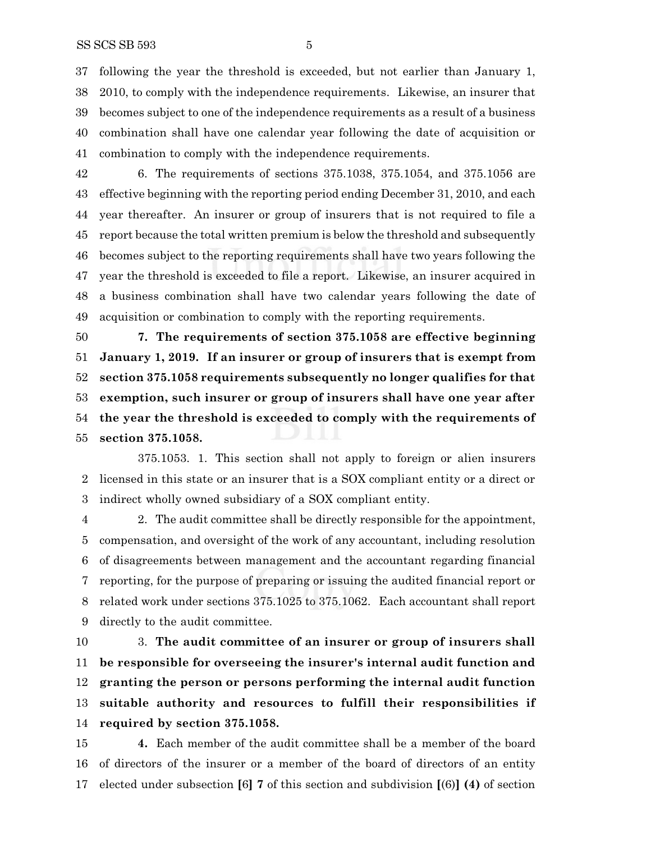following the year the threshold is exceeded, but not earlier than January 1, 2010, to comply with the independence requirements. Likewise, an insurer that becomes subject to one of the independence requirements as a result of a business combination shall have one calendar year following the date of acquisition or combination to comply with the independence requirements.

 6. The requirements of sections 375.1038, 375.1054, and 375.1056 are effective beginning with the reporting period ending December 31, 2010, and each year thereafter. An insurer or group of insurers that is not required to file a report because the total written premium is below the threshold and subsequently becomes subject to the reporting requirements shall have two years following the year the threshold is exceeded to file a report. Likewise, an insurer acquired in a business combination shall have two calendar years following the date of acquisition or combination to comply with the reporting requirements.

 **7. The requirements of section 375.1058 are effective beginning January 1, 2019. If an insurer or group of insurers that is exempt from section 375.1058 requirements subsequently no longer qualifies for that exemption, such insurer or group of insurers shall have one year after the year the threshold is exceeded to comply with the requirements of section 375.1058.**

375.1053. 1. This section shall not apply to foreign or alien insurers licensed in this state or an insurer that is a SOX compliant entity or a direct or indirect wholly owned subsidiary of a SOX compliant entity.

 2. The audit committee shall be directly responsible for the appointment, compensation, and oversight of the work of any accountant, including resolution of disagreements between management and the accountant regarding financial reporting, for the purpose of preparing or issuing the audited financial report or related work under sections 375.1025 to 375.1062. Each accountant shall report directly to the audit committee.

 3. **The audit committee of an insurer or group of insurers shall be responsible for overseeing the insurer's internal audit function and granting the person or persons performing the internal audit function suitable authority and resources to fulfill their responsibilities if required by section 375.1058.**

 **4.** Each member of the audit committee shall be a member of the board of directors of the insurer or a member of the board of directors of an entity elected under subsection **[**6**] 7** of this section and subdivision **[**(6)**] (4)** of section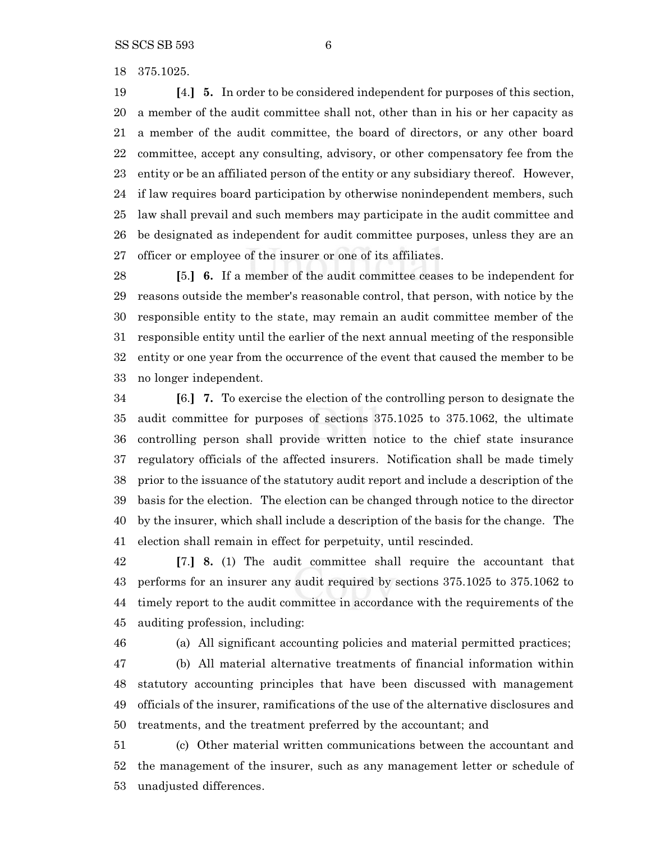375.1025.

 **[**4.**] 5.** In order to be considered independent for purposes of this section, a member of the audit committee shall not, other than in his or her capacity as a member of the audit committee, the board of directors, or any other board committee, accept any consulting, advisory, or other compensatory fee from the entity or be an affiliated person of the entity or any subsidiary thereof. However, if law requires board participation by otherwise nonindependent members, such law shall prevail and such members may participate in the audit committee and be designated as independent for audit committee purposes, unless they are an officer or employee of the insurer or one of its affiliates.

 **[**5.**] 6.** If a member of the audit committee ceases to be independent for reasons outside the member's reasonable control, that person, with notice by the responsible entity to the state, may remain an audit committee member of the responsible entity until the earlier of the next annual meeting of the responsible entity or one year from the occurrence of the event that caused the member to be no longer independent.

 **[**6.**] 7.** To exercise the election of the controlling person to designate the audit committee for purposes of sections 375.1025 to 375.1062, the ultimate controlling person shall provide written notice to the chief state insurance regulatory officials of the affected insurers. Notification shall be made timely prior to the issuance of the statutory audit report and include a description of the basis for the election. The election can be changed through notice to the director by the insurer, which shall include a description of the basis for the change. The election shall remain in effect for perpetuity, until rescinded.

 **[**7.**] 8.** (1) The audit committee shall require the accountant that performs for an insurer any audit required by sections 375.1025 to 375.1062 to timely report to the audit committee in accordance with the requirements of the auditing profession, including:

(a) All significant accounting policies and material permitted practices;

 (b) All material alternative treatments of financial information within statutory accounting principles that have been discussed with management officials of the insurer, ramifications of the use of the alternative disclosures and treatments, and the treatment preferred by the accountant; and

 (c) Other material written communications between the accountant and the management of the insurer, such as any management letter or schedule of unadjusted differences.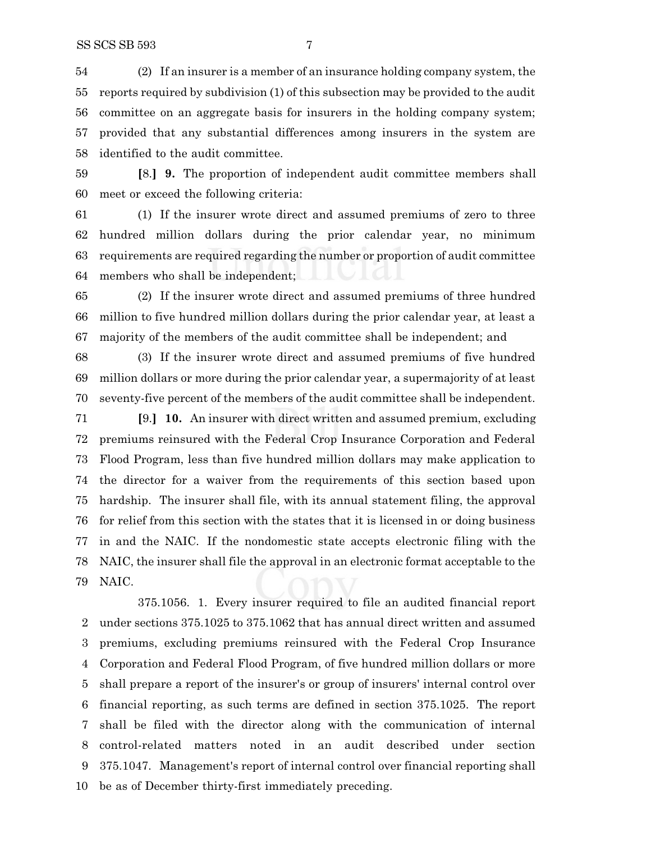(2) If an insurer is a member of an insurance holding company system, the reports required by subdivision (1) of this subsection may be provided to the audit committee on an aggregate basis for insurers in the holding company system; provided that any substantial differences among insurers in the system are identified to the audit committee.

 **[**8.**] 9.** The proportion of independent audit committee members shall meet or exceed the following criteria:

 (1) If the insurer wrote direct and assumed premiums of zero to three hundred million dollars during the prior calendar year, no minimum requirements are required regarding the number or proportion of audit committee members who shall be independent;

 (2) If the insurer wrote direct and assumed premiums of three hundred million to five hundred million dollars during the prior calendar year, at least a majority of the members of the audit committee shall be independent; and

 (3) If the insurer wrote direct and assumed premiums of five hundred million dollars or more during the prior calendar year, a supermajority of at least seventy-five percent of the members of the audit committee shall be independent.

 **[**9.**] 10.** An insurer with direct written and assumed premium, excluding premiums reinsured with the Federal Crop Insurance Corporation and Federal Flood Program, less than five hundred million dollars may make application to the director for a waiver from the requirements of this section based upon hardship. The insurer shall file, with its annual statement filing, the approval for relief from this section with the states that it is licensed in or doing business in and the NAIC. If the nondomestic state accepts electronic filing with the NAIC, the insurer shall file the approval in an electronic format acceptable to the NAIC.

375.1056. 1. Every insurer required to file an audited financial report under sections 375.1025 to 375.1062 that has annual direct written and assumed premiums, excluding premiums reinsured with the Federal Crop Insurance Corporation and Federal Flood Program, of five hundred million dollars or more shall prepare a report of the insurer's or group of insurers' internal control over financial reporting, as such terms are defined in section 375.1025. The report shall be filed with the director along with the communication of internal control-related matters noted in an audit described under section 375.1047. Management's report of internal control over financial reporting shall be as of December thirty-first immediately preceding.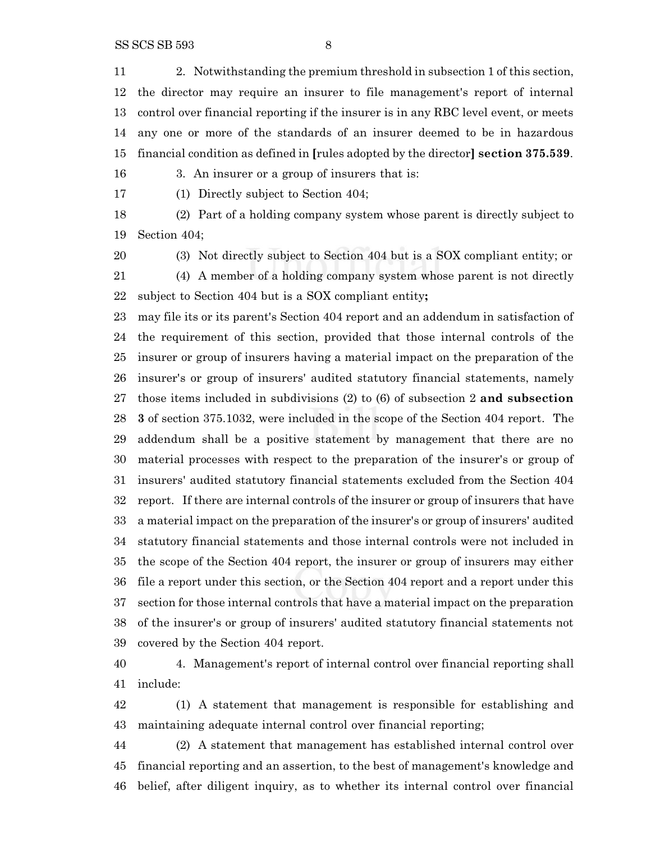SS SCS SB 593 8

 2. Notwithstanding the premium threshold in subsection 1 of this section, the director may require an insurer to file management's report of internal control over financial reporting if the insurer is in any RBC level event, or meets any one or more of the standards of an insurer deemed to be in hazardous financial condition as defined in **[**rules adopted by the director**] section 375.539**.

3. An insurer or a group of insurers that is:

(1) Directly subject to Section 404;

 (2) Part of a holding company system whose parent is directly subject to Section 404;

 (3) Not directly subject to Section 404 but is a SOX compliant entity; or (4) A member of a holding company system whose parent is not directly

subject to Section 404 but is a SOX compliant entity**;**

 may file its or its parent's Section 404 report and an addendum in satisfaction of the requirement of this section, provided that those internal controls of the insurer or group of insurers having a material impact on the preparation of the insurer's or group of insurers' audited statutory financial statements, namely those items included in subdivisions (2) to (6) of subsection 2 **and subsection 3** of section 375.1032, were included in the scope of the Section 404 report. The addendum shall be a positive statement by management that there are no material processes with respect to the preparation of the insurer's or group of insurers' audited statutory financial statements excluded from the Section 404 report. If there are internal controls of the insurer or group of insurers that have a material impact on the preparation of the insurer's or group of insurers' audited statutory financial statements and those internal controls were not included in the scope of the Section 404 report, the insurer or group of insurers may either file a report under this section, or the Section 404 report and a report under this section for those internal controls that have a material impact on the preparation of the insurer's or group of insurers' audited statutory financial statements not covered by the Section 404 report.

 4. Management's report of internal control over financial reporting shall include:

 (1) A statement that management is responsible for establishing and maintaining adequate internal control over financial reporting;

 (2) A statement that management has established internal control over financial reporting and an assertion, to the best of management's knowledge and belief, after diligent inquiry, as to whether its internal control over financial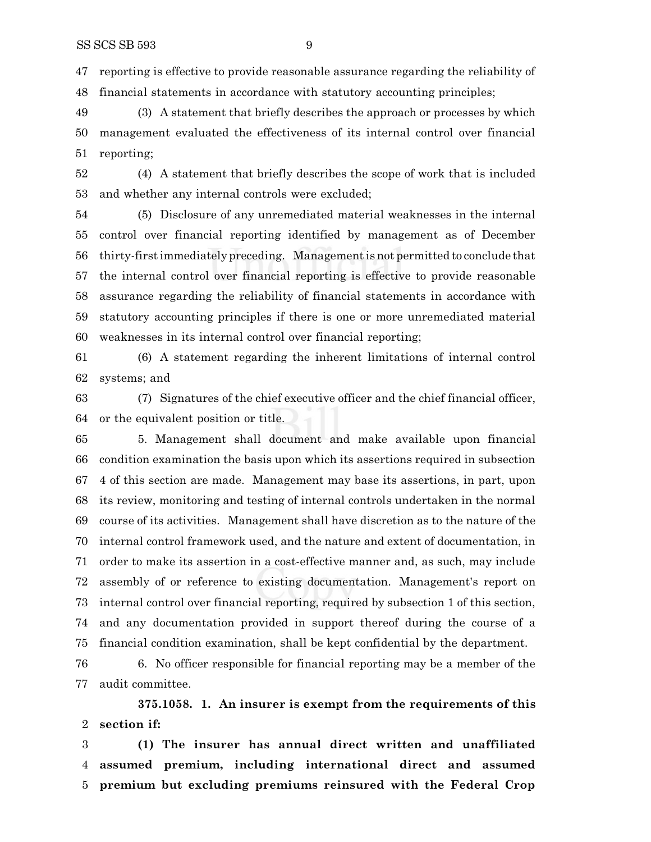reporting is effective to provide reasonable assurance regarding the reliability of financial statements in accordance with statutory accounting principles;

 (3) A statement that briefly describes the approach or processes by which management evaluated the effectiveness of its internal control over financial reporting;

 (4) A statement that briefly describes the scope of work that is included and whether any internal controls were excluded;

 (5) Disclosure of any unremediated material weaknesses in the internal control over financial reporting identified by management as of December thirty-first immediately preceding. Management is not permitted to conclude that the internal control over financial reporting is effective to provide reasonable assurance regarding the reliability of financial statements in accordance with statutory accounting principles if there is one or more unremediated material weaknesses in its internal control over financial reporting;

 (6) A statement regarding the inherent limitations of internal control systems; and

 (7) Signatures of the chief executive officer and the chief financial officer, or the equivalent position or title.

 5. Management shall document and make available upon financial condition examination the basis upon which its assertions required in subsection 4 of this section are made. Management may base its assertions, in part, upon its review, monitoring and testing of internal controls undertaken in the normal course of its activities. Management shall have discretion as to the nature of the internal control framework used, and the nature and extent of documentation, in order to make its assertion in a cost-effective manner and, as such, may include assembly of or reference to existing documentation. Management's report on internal control over financial reporting, required by subsection 1 of this section, and any documentation provided in support thereof during the course of a financial condition examination, shall be kept confidential by the department.

 6. No officer responsible for financial reporting may be a member of the audit committee.

**375.1058. 1. An insurer is exempt from the requirements of this section if:**

 **(1) The insurer has annual direct written and unaffiliated assumed premium, including international direct and assumed premium but excluding premiums reinsured with the Federal Crop**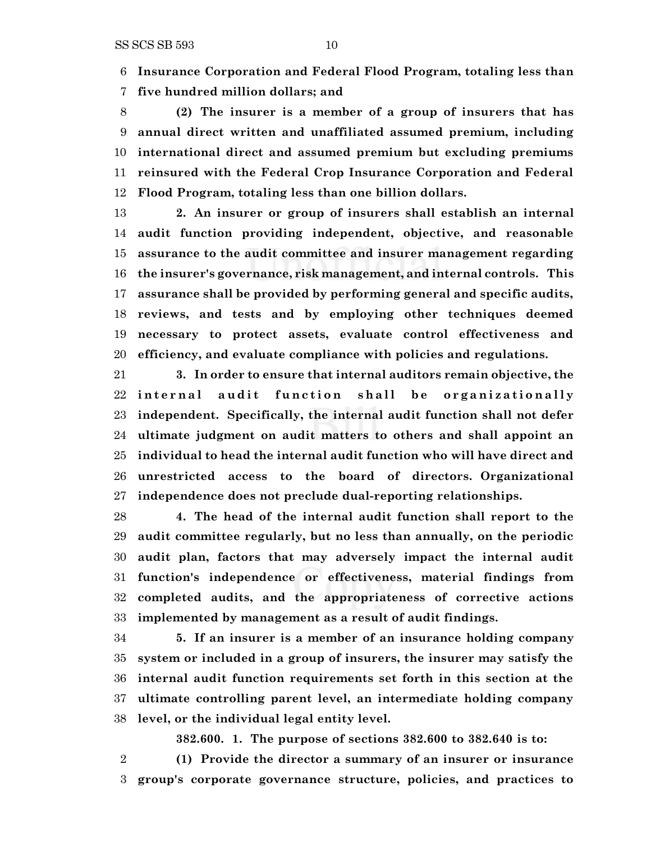**Insurance Corporation and Federal Flood Program, totaling less than**

**five hundred million dollars; and**

 **(2) The insurer is a member of a group of insurers that has annual direct written and unaffiliated assumed premium, including international direct and assumed premium but excluding premiums reinsured with the Federal Crop Insurance Corporation and Federal Flood Program, totaling less than one billion dollars.**

 **2. An insurer or group of insurers shall establish an internal audit function providing independent, objective, and reasonable assurance to the audit committee and insurer management regarding the insurer's governance, risk management, and internal controls. This assurance shall be provided by performing general and specific audits, reviews, and tests and by employing other techniques deemed necessary to protect assets, evaluate control effectiveness and efficiency, and evaluate compliance with policies and regulations.**

 **3. In order to ensure that internal auditors remain objective, the** 22 internal audit function shall be organizationally **independent. Specifically, the internal audit function shall not defer ultimate judgment on audit matters to others and shall appoint an individual to head the internal audit function who will have direct and unrestricted access to the board of directors. Organizational independence does not preclude dual-reporting relationships.**

 **4. The head of the internal audit function shall report to the audit committee regularly, but no less than annually, on the periodic audit plan, factors that may adversely impact the internal audit function's independence or effectiveness, material findings from completed audits, and the appropriateness of corrective actions implemented by management as a result of audit findings.**

 **5. If an insurer is a member of an insurance holding company system or included in a group of insurers, the insurer may satisfy the internal audit function requirements set forth in this section at the ultimate controlling parent level, an intermediate holding company level, or the individual legal entity level.**

**382.600. 1. The purpose of sections 382.600 to 382.640 is to:**

 **(1) Provide the director a summary of an insurer or insurance group's corporate governance structure, policies, and practices to**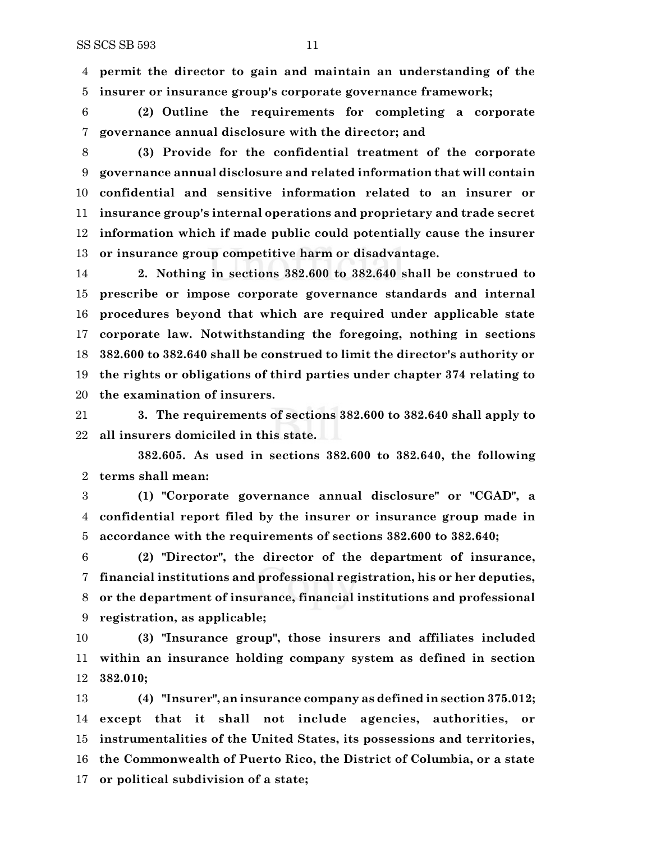**permit the director to gain and maintain an understanding of the insurer or insurance group's corporate governance framework;**

 **(2) Outline the requirements for completing a corporate governance annual disclosure with the director; and**

 **(3) Provide for the confidential treatment of the corporate governance annual disclosure and related information that will contain confidential and sensitive information related to an insurer or insurance group's internal operations and proprietary and trade secret information which if made public could potentially cause the insurer or insurance group competitive harm or disadvantage.**

 **2. Nothing in sections 382.600 to 382.640 shall be construed to prescribe or impose corporate governance standards and internal procedures beyond that which are required under applicable state corporate law. Notwithstanding the foregoing, nothing in sections 382.600 to 382.640 shall be construed to limit the director's authority or the rights or obligations of third parties under chapter 374 relating to the examination of insurers.**

 **3. The requirements of sections 382.600 to 382.640 shall apply to all insurers domiciled in this state.**

**382.605. As used in sections 382.600 to 382.640, the following terms shall mean:**

 **(1) "Corporate governance annual disclosure" or "CGAD", a confidential report filed by the insurer or insurance group made in accordance with the requirements of sections 382.600 to 382.640;**

 **(2) "Director", the director of the department of insurance, financial institutions and professional registration, his or her deputies, or the department of insurance, financial institutions and professional registration, as applicable;**

 **(3) "Insurance group", those insurers and affiliates included within an insurance holding company system as defined in section 382.010;**

 **(4) "Insurer", an insurance company as defined in section 375.012; except that it shall not include agencies, authorities, or instrumentalities of the United States, its possessions and territories, the Commonwealth of Puerto Rico, the District of Columbia, or a state or political subdivision of a state;**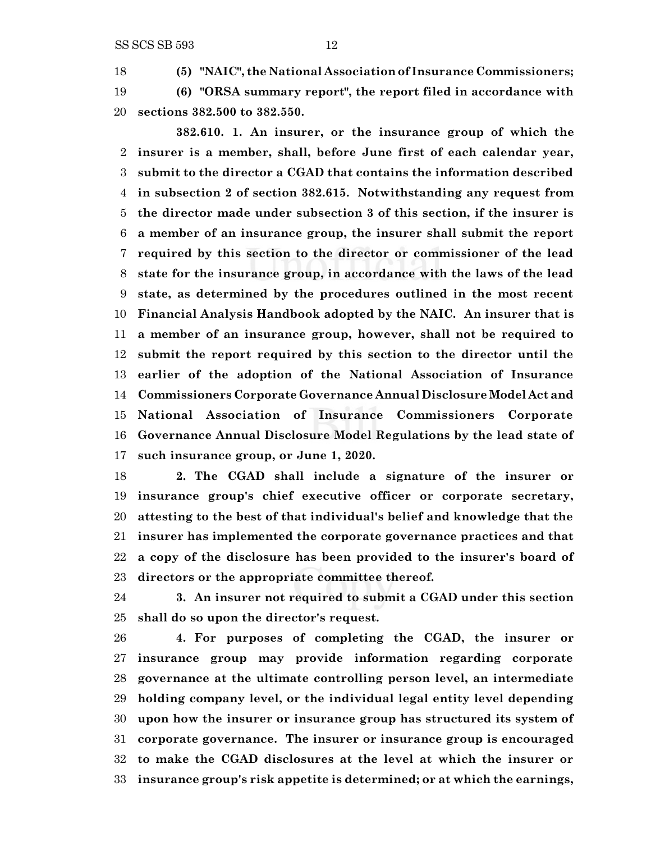**(5) "NAIC", the National Association of Insurance Commissioners; (6) "ORSA summary report", the report filed in accordance with sections 382.500 to 382.550.**

**382.610. 1. An insurer, or the insurance group of which the insurer is a member, shall, before June first of each calendar year, submit to the director a CGAD that contains the information described in subsection 2 of section 382.615. Notwithstanding any request from the director made under subsection 3 of this section, if the insurer is a member of an insurance group, the insurer shall submit the report required by this section to the director or commissioner of the lead state for the insurance group, in accordance with the laws of the lead state, as determined by the procedures outlined in the most recent Financial Analysis Handbook adopted by the NAIC. An insurer that is a member of an insurance group, however, shall not be required to submit the report required by this section to the director until the earlier of the adoption of the National Association of Insurance Commissioners Corporate Governance Annual Disclosure Model Act and National Association of Insurance Commissioners Corporate Governance Annual Disclosure Model Regulations by the lead state of such insurance group, or June 1, 2020.**

 **2. The CGAD shall include a signature of the insurer or insurance group's chief executive officer or corporate secretary, attesting to the best of that individual's belief and knowledge that the insurer has implemented the corporate governance practices and that a copy of the disclosure has been provided to the insurer's board of directors or the appropriate committee thereof.**

 **3. An insurer not required to submit a CGAD under this section shall do so upon the director's request.**

 **4. For purposes of completing the CGAD, the insurer or insurance group may provide information regarding corporate governance at the ultimate controlling person level, an intermediate holding company level, or the individual legal entity level depending upon how the insurer or insurance group has structured its system of corporate governance. The insurer or insurance group is encouraged to make the CGAD disclosures at the level at which the insurer or insurance group's risk appetite is determined; or at which the earnings,**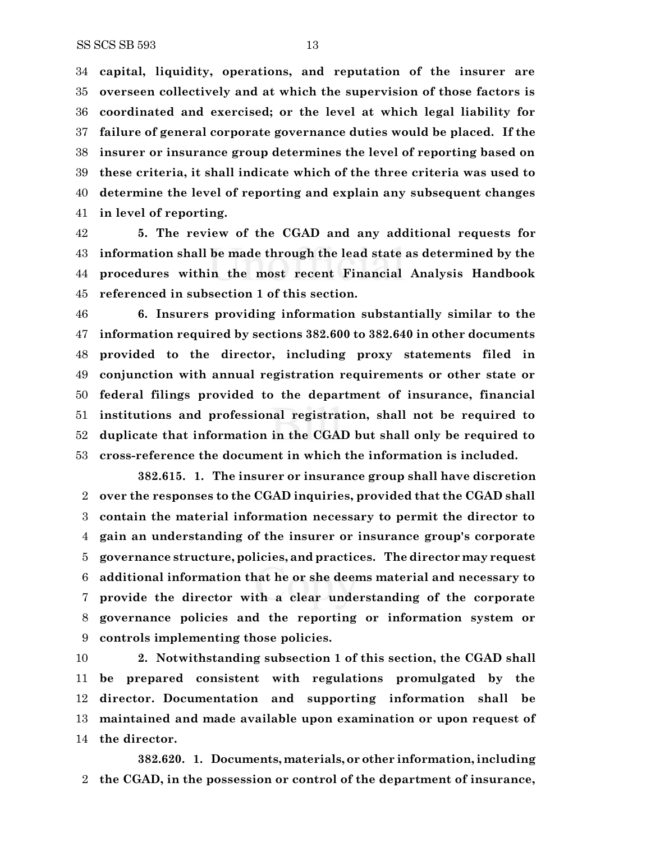**capital, liquidity, operations, and reputation of the insurer are overseen collectively and at which the supervision of those factors is coordinated and exercised; or the level at which legal liability for failure of general corporate governance duties would be placed. If the insurer or insurance group determines the level of reporting based on these criteria, it shall indicate which of the three criteria was used to determine the level of reporting and explain any subsequent changes in level of reporting.**

 **5. The review of the CGAD and any additional requests for information shall be made through the lead state as determined by the procedures within the most recent Financial Analysis Handbook referenced in subsection 1 of this section.**

 **6. Insurers providing information substantially similar to the information required by sections 382.600 to 382.640 in other documents provided to the director, including proxy statements filed in conjunction with annual registration requirements or other state or federal filings provided to the department of insurance, financial institutions and professional registration, shall not be required to duplicate that information in the CGAD but shall only be required to cross-reference the document in which the information is included.**

**382.615. 1. The insurer or insurance group shall have discretion over the responses to the CGAD inquiries, provided that the CGAD shall contain the material information necessary to permit the director to gain an understanding of the insurer or insurance group's corporate governance structure, policies, and practices. The director may request additional information that he or she deems material and necessary to provide the director with a clear understanding of the corporate governance policies and the reporting or information system or controls implementing those policies.**

 **2. Notwithstanding subsection 1 of this section, the CGAD shall be prepared consistent with regulations promulgated by the director. Documentation and supporting information shall be maintained and made available upon examination or upon request of the director.**

**382.620. 1. Documents, materials, or other information,including the CGAD, in the possession or control of the department of insurance,**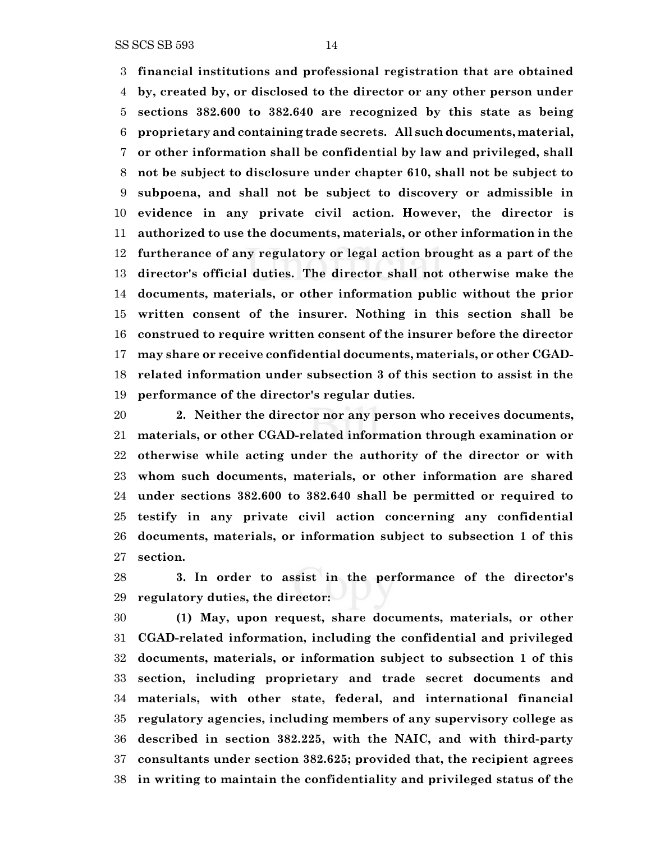SS SCS SB 593 14

 **financial institutions and professional registration that are obtained by, created by, or disclosed to the director or any other person under sections 382.600 to 382.640 are recognized by this state as being proprietary and containing trade secrets. All such documents, material, or other information shall be confidential by law and privileged, shall not be subject to disclosure under chapter 610, shall not be subject to subpoena, and shall not be subject to discovery or admissible in evidence in any private civil action. However, the director is authorized to use the documents, materials, or other information in the furtherance of any regulatory or legal action brought as a part of the director's official duties. The director shall not otherwise make the documents, materials, or other information public without the prior written consent of the insurer. Nothing in this section shall be construed to require written consent of the insurer before the director may share or receive confidential documents, materials, or other CGAD- related information under subsection 3 of this section to assist in the performance of the director's regular duties.**

 **2. Neither the director nor any person who receives documents, materials, or other CGAD-related information through examination or otherwise while acting under the authority of the director or with whom such documents, materials, or other information are shared under sections 382.600 to 382.640 shall be permitted or required to testify in any private civil action concerning any confidential documents, materials, or information subject to subsection 1 of this section.**

 **3. In order to assist in the performance of the director's regulatory duties, the director:**

 **(1) May, upon request, share documents, materials, or other CGAD-related information, including the confidential and privileged documents, materials, or information subject to subsection 1 of this section, including proprietary and trade secret documents and materials, with other state, federal, and international financial regulatory agencies, including members of any supervisory college as described in section 382.225, with the NAIC, and with third-party consultants under section 382.625; provided that, the recipient agrees in writing to maintain the confidentiality and privileged status of the**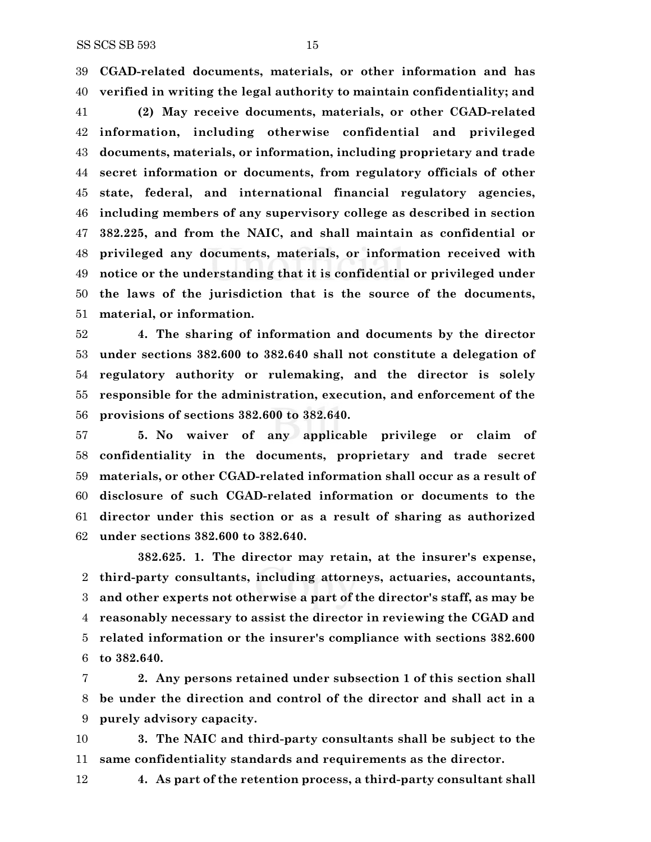**CGAD-related documents, materials, or other information and has verified in writing the legal authority to maintain confidentiality; and**

 **(2) May receive documents, materials, or other CGAD-related information, including otherwise confidential and privileged documents, materials, or information, including proprietary and trade secret information or documents, from regulatory officials of other state, federal, and international financial regulatory agencies, including members of any supervisory college as described in section 382.225, and from the NAIC, and shall maintain as confidential or privileged any documents, materials, or information received with notice or the understanding that it is confidential or privileged under the laws of the jurisdiction that is the source of the documents, material, or information.**

 **4. The sharing of information and documents by the director under sections 382.600 to 382.640 shall not constitute a delegation of regulatory authority or rulemaking, and the director is solely responsible for the administration, execution, and enforcement of the provisions of sections 382.600 to 382.640.**

 **5. No waiver of any applicable privilege or claim of confidentiality in the documents, proprietary and trade secret materials, or other CGAD-related information shall occur as a result of disclosure of such CGAD-related information or documents to the director under this section or as a result of sharing as authorized under sections 382.600 to 382.640.**

**382.625. 1. The director may retain, at the insurer's expense, third-party consultants, including attorneys, actuaries, accountants, and other experts not otherwise a part of the director's staff, as may be reasonably necessary to assist the director in reviewing the CGAD and related information or the insurer's compliance with sections 382.600 to 382.640.**

 **2. Any persons retained under subsection 1 of this section shall be under the direction and control of the director and shall act in a purely advisory capacity.**

 **3. The NAIC and third-party consultants shall be subject to the same confidentiality standards and requirements as the director.**

**4. As part of the retention process, a third-party consultant shall**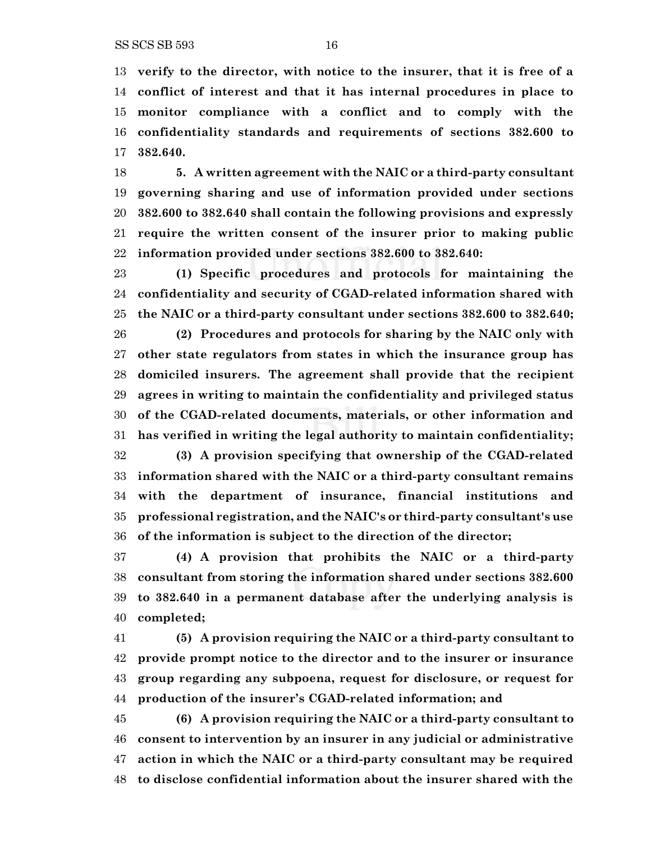**verify to the director, with notice to the insurer, that it is free of a conflict of interest and that it has internal procedures in place to monitor compliance with a conflict and to comply with the confidentiality standards and requirements of sections 382.600 to 382.640.**

 **5. A written agreement with the NAIC or a third-party consultant governing sharing and use of information provided under sections 382.600 to 382.640 shall contain the following provisions and expressly require the written consent of the insurer prior to making public information provided under sections 382.600 to 382.640:**

 **(1) Specific procedures and protocols for maintaining the confidentiality and security of CGAD-related information shared with the NAIC or a third-party consultant under sections 382.600 to 382.640;**

 **(2) Procedures and protocols for sharing by the NAIC only with other state regulators from states in which the insurance group has domiciled insurers. The agreement shall provide that the recipient agrees in writing to maintain the confidentiality and privileged status of the CGAD-related documents, materials, or other information and has verified in writing the legal authority to maintain confidentiality; (3) A provision specifying that ownership of the CGAD-related information shared with the NAIC or a third-party consultant remains with the department of insurance, financial institutions and professional registration, and the NAIC's or third-party consultant's use of the information is subject to the direction of the director;**

 **(4) A provision that prohibits the NAIC or a third-party consultant from storing the information shared under sections 382.600 to 382.640 in a permanent database after the underlying analysis is completed;**

 **(5) A provision requiring the NAIC or a third-party consultant to provide prompt notice to the director and to the insurer or insurance group regarding any subpoena, request for disclosure, or request for production of the insurer's CGAD-related information; and**

 **(6) A provision requiring the NAIC or a third-party consultant to consent to intervention by an insurer in any judicial or administrative action in which the NAIC or a third-party consultant may be required to disclose confidential information about the insurer shared with the**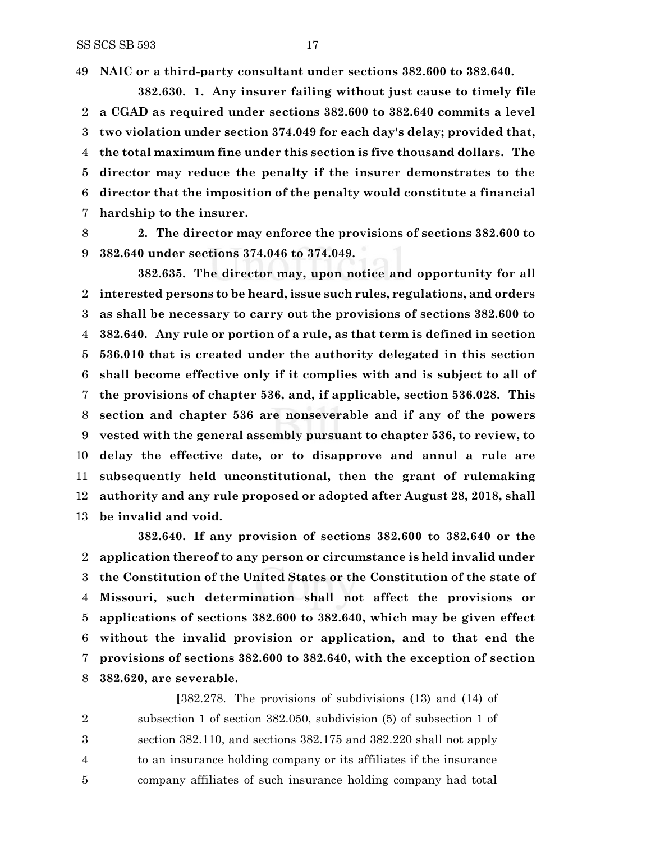**NAIC or a third-party consultant under sections 382.600 to 382.640.**

**382.630. 1. Any insurer failing without just cause to timely file a CGAD as required under sections 382.600 to 382.640 commits a level two violation under section 374.049 for each day's delay; provided that, the total maximum fine under this section is five thousand dollars. The director may reduce the penalty if the insurer demonstrates to the director that the imposition of the penalty would constitute a financial hardship to the insurer.**

 **2. The director may enforce the provisions of sections 382.600 to 382.640 under sections 374.046 to 374.049.**

**382.635. The director may, upon notice and opportunity for all interested persons to be heard, issue such rules, regulations, and orders as shall be necessary to carry out the provisions of sections 382.600 to 382.640. Any rule or portion of a rule, as that term is defined in section 536.010 that is created under the authority delegated in this section shall become effective only if it complies with and is subject to all of the provisions of chapter 536, and, if applicable, section 536.028. This section and chapter 536 are nonseverable and if any of the powers vested with the general assembly pursuant to chapter 536, to review, to delay the effective date, or to disapprove and annul a rule are subsequently held unconstitutional, then the grant of rulemaking authority and any rule proposed or adopted after August 28, 2018, shall be invalid and void.**

**382.640. If any provision of sections 382.600 to 382.640 or the application thereof to any person or circumstance is held invalid under the Constitution of the United States or the Constitution of the state of Missouri, such determination shall not affect the provisions or applications of sections 382.600 to 382.640, which may be given effect without the invalid provision or application, and to that end the provisions of sections 382.600 to 382.640, with the exception of section 382.620, are severable.**

**[**382.278. The provisions of subdivisions (13) and (14) of subsection 1 of section 382.050, subdivision (5) of subsection 1 of section 382.110, and sections 382.175 and 382.220 shall not apply to an insurance holding company or its affiliates if the insurance company affiliates of such insurance holding company had total